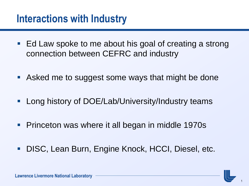## **Interactions with Industry**

- Ed Law spoke to me about his goal of creating a strong connection between CEFRC and industry
- Asked me to suggest some ways that might be done
- **Long history of DOE/Lab/University/Industry teams**
- **Princeton was where it all began in middle 1970s**
- **DISC, Lean Burn, Engine Knock, HCCI, Diesel, etc.**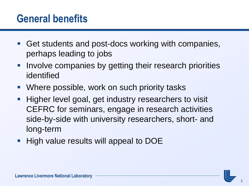### **General benefits**

- Get students and post-docs working with companies, perhaps leading to jobs
- **Involve companies by getting their research priorities** identified
- **Where possible, work on such priority tasks**
- **Higher level goal, get industry researchers to visit** CEFRC for seminars, engage in research activities side-by-side with university researchers, short- and long-term
- **High value results will appeal to DOE**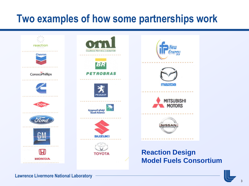## **Two examples of how some partnerships work**





#### **Reaction Design Model Fuels Consortium**

**Lawrence Livermore National Laboratory**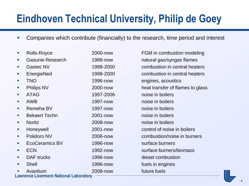# **Eindhoven Technical University, Philip de Goey**

- Companies which contribute (financially) to the research, time period and interest
- **Lawrence Livermore National Laboratory** Rolls-Royce 2000-now FGM in combustion modeling Gasunie Research 1988-now natural gas/syngas flames Gastec NV 1988-2000 combustion in central heaters EnergieNed 1998-2000 combustion in central heaters **TNO** 1996-now engines, acoustics **Philips NV** 2000-now heat transfer of flames to glass **ATAG** 1997-2006 noise in boilers **AWB** 2008 1997-now noise in boilers **Remeha BV** 1997-now noise in boilers **Bekaert Techn** 2001-now noise in boilers **Noritz 2008-now hoise in boilers 2008-now noise in boilers Honeywell** 2001-now control of noise in boilers Polidoro NV 2006-now combustion/noise in burners ■ EcoCeramics BV 1996-now surface burners ■ ECN 1992-now surface burners/biomass **DAF trucks** 1996-now diesel combustion **Shell 1996-now fuels in engines** Avantium 2008-now future fuels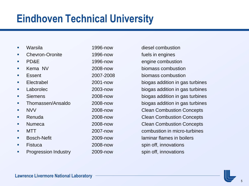## **Eindhoven Technical University**

- 
- **•** Chevron-Oronite 1996-now fuels in engines
- 
- 
- 
- 
- 
- 
- 
- 
- 
- 
- 
- 
- 
- **Progression Industry 2009-now spin off, innovations**

**Narsila** 1996-now diesel combustion **PD&E** 1996-now engine combustion ■ Kema NV 2008-now biomass combustion **Exsent** 2007-2008 biomass combustion Electrabel 2001-now biogas addition in gas turbines Laborolec 2003-now biogas addition in gas turbines Siemens 2008-now biogas addition in gas turbines Thomassen/Ansaldo 2008-now biogas addition in gas turbines **NVV** 2008-now Clean Combustion Concepts **Renuda** 2008-now Clean Combustion Concepts **Numeca** 2008-now Clean Combustion Concepts MTT 2007-now combustion in micro-turbines Bosch-Nefit 2009-now laminar flames in boilers Fistuca 2008-now spin off, innovations

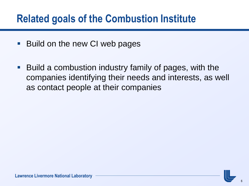## **Related goals of the Combustion Institute**

- Build on the new CI web pages
- Build a combustion industry family of pages, with the companies identifying their needs and interests, as well as contact people at their companies